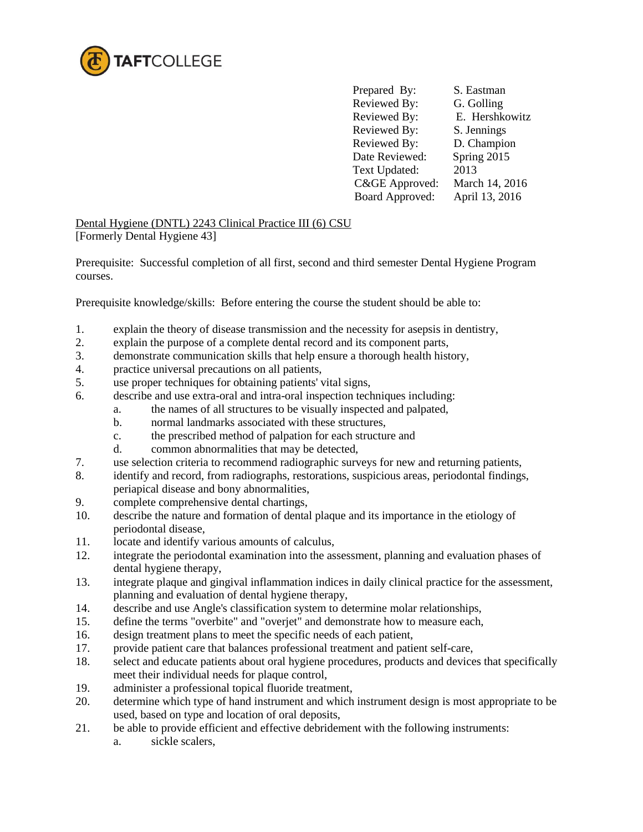

Prepared By: S. Eastman Reviewed By: G. Golling Reviewed By: E. Hershkowitz Reviewed By: S. Jennings Reviewed By: D. Champion Date Reviewed: Spring 2015 Text Updated: 2013 C&GE Approved: March 14, 2016 Board Approved: April 13, 2016

Dental Hygiene (DNTL) 2243 Clinical Practice III (6) CSU [Formerly Dental Hygiene 43]

Prerequisite: Successful completion of all first, second and third semester Dental Hygiene Program courses.

Prerequisite knowledge/skills: Before entering the course the student should be able to:

- 1. explain the theory of disease transmission and the necessity for asepsis in dentistry,
- 2. explain the purpose of a complete dental record and its component parts,
- 3. demonstrate communication skills that help ensure a thorough health history,
- 4. practice universal precautions on all patients,<br>5. use proper techniques for obtaining patients's
- use proper techniques for obtaining patients' vital signs,
- 6. describe and use extra-oral and intra-oral inspection techniques including:
	- a. the names of all structures to be visually inspected and palpated,
		- b. normal landmarks associated with these structures,
		- c. the prescribed method of palpation for each structure and
		- d. common abnormalities that may be detected,
- 7. use selection criteria to recommend radiographic surveys for new and returning patients,
- 8. identify and record, from radiographs, restorations, suspicious areas, periodontal findings, periapical disease and bony abnormalities,
- 9. complete comprehensive dental chartings,
- 10. describe the nature and formation of dental plaque and its importance in the etiology of periodontal disease,
- 11. locate and identify various amounts of calculus,
- 12. integrate the periodontal examination into the assessment, planning and evaluation phases of dental hygiene therapy,
- 13. integrate plaque and gingival inflammation indices in daily clinical practice for the assessment, planning and evaluation of dental hygiene therapy,
- 14. describe and use Angle's classification system to determine molar relationships,
- 15. define the terms "overbite" and "overjet" and demonstrate how to measure each,
- 16. design treatment plans to meet the specific needs of each patient,
- 17. provide patient care that balances professional treatment and patient self-care,
- 18. select and educate patients about oral hygiene procedures, products and devices that specifically meet their individual needs for plaque control,
- 19. administer a professional topical fluoride treatment,
- 20. determine which type of hand instrument and which instrument design is most appropriate to be used, based on type and location of oral deposits,
- 21. be able to provide efficient and effective debridement with the following instruments:
	- a. sickle scalers,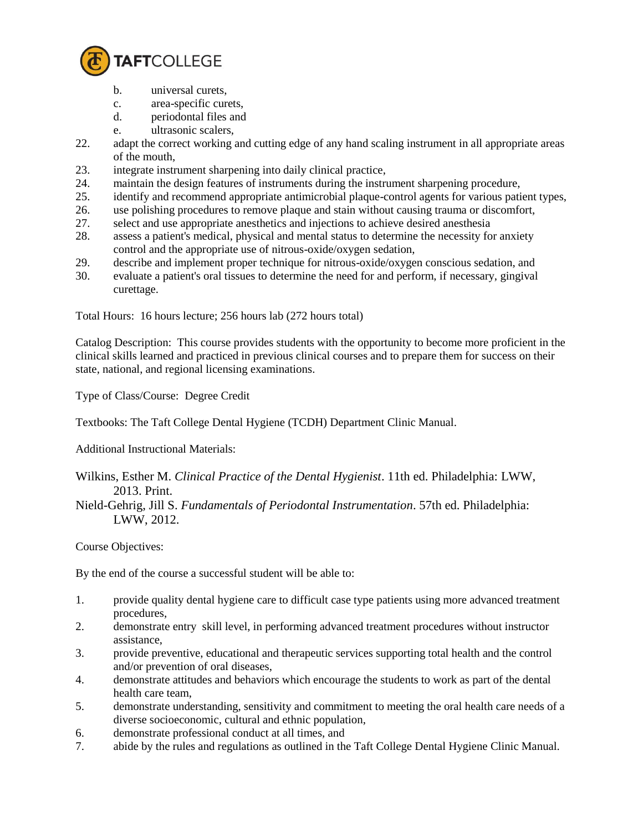

- b. universal curets,
- c. area-specific curets,
- d. periodontal files and
- e. ultrasonic scalers,
- 22. adapt the correct working and cutting edge of any hand scaling instrument in all appropriate areas of the mouth,
- 23. integrate instrument sharpening into daily clinical practice,
- 24. maintain the design features of instruments during the instrument sharpening procedure,
- 25. identify and recommend appropriate antimicrobial plaque-control agents for various patient types,
- 26. use polishing procedures to remove plaque and stain without causing trauma or discomfort,
- 27. select and use appropriate anesthetics and injections to achieve desired anesthesia
- 28. assess a patient's medical, physical and mental status to determine the necessity for anxiety control and the appropriate use of nitrous-oxide/oxygen sedation,
- 29. describe and implement proper technique for nitrous-oxide/oxygen conscious sedation, and
- 30. evaluate a patient's oral tissues to determine the need for and perform, if necessary, gingival curettage.

Total Hours: 16 hours lecture; 256 hours lab (272 hours total)

Catalog Description: This course provides students with the opportunity to become more proficient in the clinical skills learned and practiced in previous clinical courses and to prepare them for success on their state, national, and regional licensing examinations.

Type of Class/Course: Degree Credit

Textbooks: The Taft College Dental Hygiene (TCDH) Department Clinic Manual.

Additional Instructional Materials:

Wilkins, Esther M. *Clinical Practice of the Dental Hygienist*. 11th ed. Philadelphia: LWW, 2013. Print.

Nield-Gehrig, Jill S. *Fundamentals of Periodontal Instrumentation*. 57th ed. Philadelphia: LWW, 2012.

Course Objectives:

By the end of the course a successful student will be able to:

- 1. provide quality dental hygiene care to difficult case type patients using more advanced treatment procedures,
- 2. demonstrate entry skill level, in performing advanced treatment procedures without instructor assistance,
- 3. provide preventive, educational and therapeutic services supporting total health and the control and/or prevention of oral diseases,
- 4. demonstrate attitudes and behaviors which encourage the students to work as part of the dental health care team,
- 5. demonstrate understanding, sensitivity and commitment to meeting the oral health care needs of a diverse socioeconomic, cultural and ethnic population,
- 6. demonstrate professional conduct at all times, and
- 7. abide by the rules and regulations as outlined in the Taft College Dental Hygiene Clinic Manual.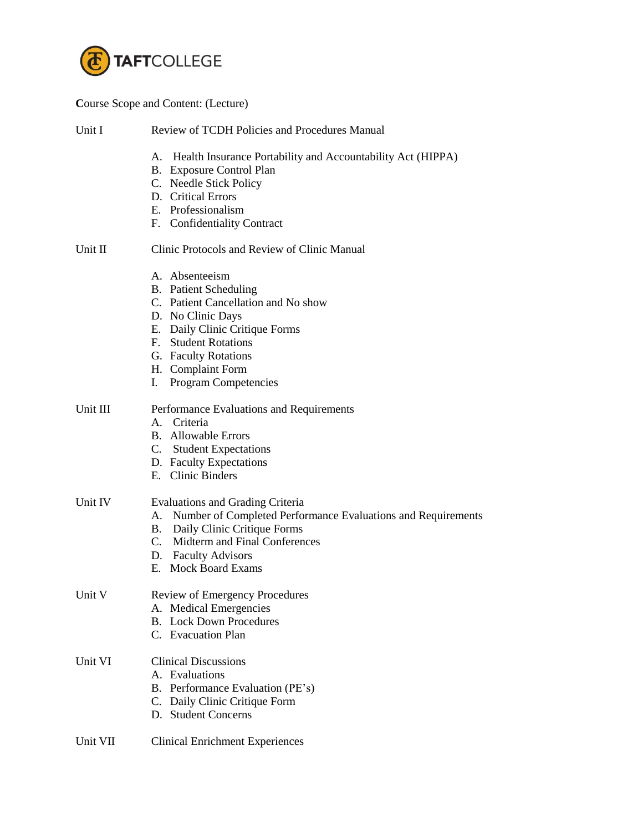

## **C**ourse Scope and Content: (Lecture)

| Unit I   | Review of TCDH Policies and Procedures Manual                                                                                                                                                                                                          |  |  |
|----------|--------------------------------------------------------------------------------------------------------------------------------------------------------------------------------------------------------------------------------------------------------|--|--|
|          | Health Insurance Portability and Accountability Act (HIPPA)<br>А.<br>B. Exposure Control Plan<br>C. Needle Stick Policy<br>D. Critical Errors<br>E. Professionalism<br>F. Confidentiality Contract                                                     |  |  |
| Unit II  | Clinic Protocols and Review of Clinic Manual                                                                                                                                                                                                           |  |  |
|          | A. Absenteeism<br><b>B.</b> Patient Scheduling<br>C. Patient Cancellation and No show<br>D. No Clinic Days<br>E. Daily Clinic Critique Forms<br>F. Student Rotations<br>G. Faculty Rotations<br>H. Complaint Form<br><b>Program Competencies</b><br>I. |  |  |
| Unit III | Performance Evaluations and Requirements<br>A. Criteria<br><b>B.</b> Allowable Errors<br>C. Student Expectations<br>D. Faculty Expectations<br>E. Clinic Binders                                                                                       |  |  |
| Unit IV  | <b>Evaluations and Grading Criteria</b><br>Number of Completed Performance Evaluations and Requirements<br>А.<br>Daily Clinic Critique Forms<br>В.<br>C. Midterm and Final Conferences<br>D. Faculty Advisors<br>E. Mock Board Exams                   |  |  |
| Unit V   | Review of Emergency Procedures<br>A. Medical Emergencies<br><b>B.</b> Lock Down Procedures<br>C. Evacuation Plan                                                                                                                                       |  |  |
| Unit VI  | <b>Clinical Discussions</b><br>A. Evaluations<br>B. Performance Evaluation (PE's)<br>C. Daily Clinic Critique Form<br>D. Student Concerns                                                                                                              |  |  |
| Unit VII | <b>Clinical Enrichment Experiences</b>                                                                                                                                                                                                                 |  |  |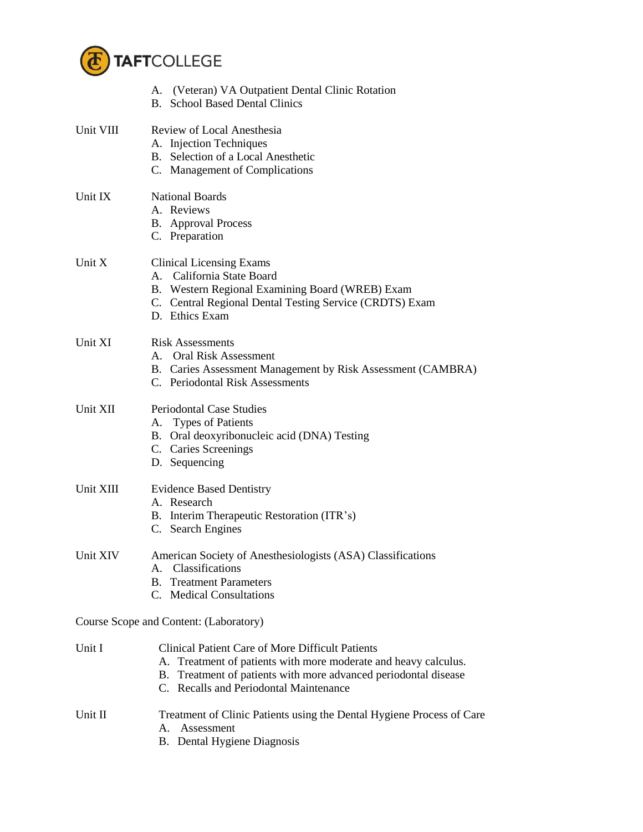

|           | A. (Veteran) VA Outpatient Dental Clinic Rotation<br><b>B.</b> School Based Dental Clinics                                         |
|-----------|------------------------------------------------------------------------------------------------------------------------------------|
| Unit VIII | Review of Local Anesthesia<br>A. Injection Techniques                                                                              |
|           | B. Selection of a Local Anesthetic<br>C. Management of Complications                                                               |
| Unit IX   | <b>National Boards</b><br>A. Reviews                                                                                               |
|           | <b>B.</b> Approval Process                                                                                                         |
|           | C. Preparation                                                                                                                     |
| Unit X    | <b>Clinical Licensing Exams</b>                                                                                                    |
|           | A. California State Board                                                                                                          |
|           | B. Western Regional Examining Board (WREB) Exam<br>C. Central Regional Dental Testing Service (CRDTS) Exam                         |
|           | D. Ethics Exam                                                                                                                     |
| Unit XI   | <b>Risk Assessments</b>                                                                                                            |
|           | A. Oral Risk Assessment                                                                                                            |
|           | B. Caries Assessment Management by Risk Assessment (CAMBRA)<br>C. Periodontal Risk Assessments                                     |
| Unit XII  | <b>Periodontal Case Studies</b>                                                                                                    |
|           | A. Types of Patients                                                                                                               |
|           | B. Oral deoxyribonucleic acid (DNA) Testing                                                                                        |
|           | C. Caries Screenings<br>D. Sequencing                                                                                              |
| Unit XIII | <b>Evidence Based Dentistry</b>                                                                                                    |
|           | A. Research                                                                                                                        |
|           | B. Interim Therapeutic Restoration (ITR's)<br>C. Search Engines                                                                    |
| Unit XIV  | American Society of Anesthesiologists (ASA) Classifications                                                                        |
|           | Classifications<br>A.                                                                                                              |
|           | <b>Treatment Parameters</b><br>В.                                                                                                  |
|           | C. Medical Consultations                                                                                                           |
|           | Course Scope and Content: (Laboratory)                                                                                             |
| Unit I    | <b>Clinical Patient Care of More Difficult Patients</b>                                                                            |
|           | A. Treatment of patients with more moderate and heavy calculus.<br>B. Treatment of patients with more advanced periodontal disease |
|           | C. Recalls and Periodontal Maintenance                                                                                             |
| Unit II   | Treatment of Clinic Patients using the Dental Hygiene Process of Care                                                              |
|           | Assessment<br>А.                                                                                                                   |
|           | <b>B.</b> Dental Hygiene Diagnosis                                                                                                 |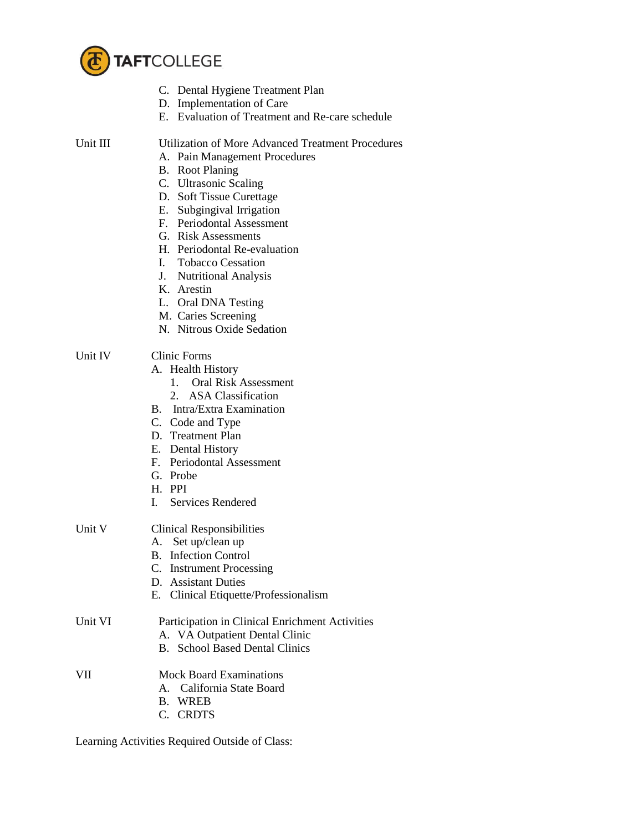

- C. Dental Hygiene Treatment Plan
- D. Implementation of Care
- E. Evaluation of Treatment and Re-care schedule

Unit III Utilization of More Advanced Treatment Procedures

- A. Pain Management Procedures
- B. Root Planing
- C. Ultrasonic Scaling
- D. Soft Tissue Curettage
- E. Subgingival Irrigation
- F. Periodontal Assessment
- G. Risk Assessments
- H. Periodontal Re-evaluation
- I. Tobacco Cessation
- J. Nutritional Analysis
- K. Arestin
- L. Oral DNA Testing
- M. Caries Screening
- N. Nitrous Oxide Sedation

## Unit IV Clinic Forms

- A. Health History
	- 1. Oral Risk Assessment
	- 2. ASA Classification
- B. Intra/Extra Examination
- C. Code and Type
- D. Treatment Plan
- E. Dental History
- F. Periodontal Assessment
- G. Probe
- H. PPI
- I. Services Rendered
- Unit V Clinical Responsibilities
	- A. Set up/clean up
	- B. Infection Control
	- C. Instrument Processing
	- D. Assistant Duties
	- E. Clinical Etiquette/Professionalism
- Unit VI Participation in Clinical Enrichment Activities A. VA Outpatient Dental Clinic B. School Based Dental Clinics
- VII Mock Board Examinations
	- A. California State Board
	- B. WREB
	- C. CRDTS

Learning Activities Required Outside of Class: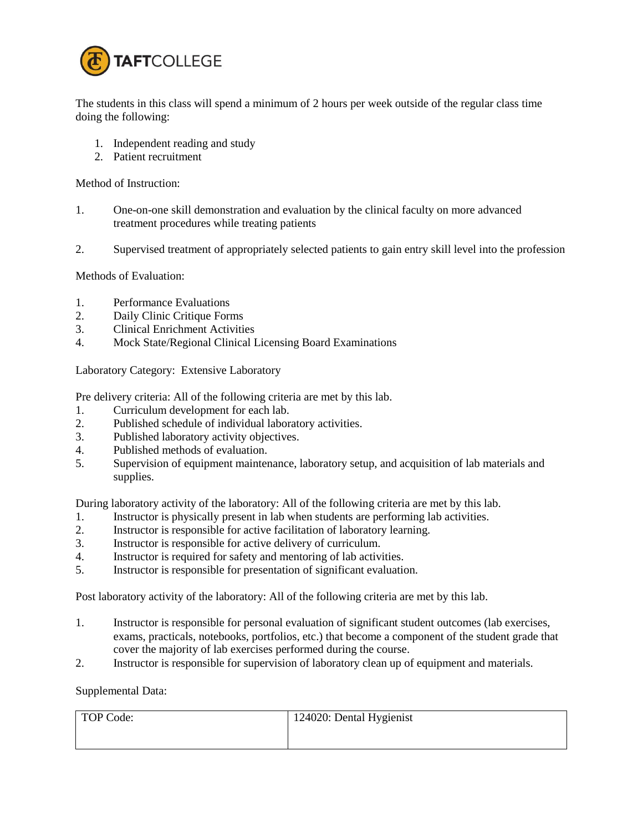

The students in this class will spend a minimum of 2 hours per week outside of the regular class time doing the following:

- 1. Independent reading and study
- 2. Patient recruitment

Method of Instruction:

- 1. One-on-one skill demonstration and evaluation by the clinical faculty on more advanced treatment procedures while treating patients
- 2. Supervised treatment of appropriately selected patients to gain entry skill level into the profession

Methods of Evaluation:

- 1. Performance Evaluations
- 2. Daily Clinic Critique Forms
- 3. Clinical Enrichment Activities
- 4. Mock State/Regional Clinical Licensing Board Examinations

Laboratory Category: Extensive Laboratory

Pre delivery criteria: All of the following criteria are met by this lab.

- 1. Curriculum development for each lab.
- 2. Published schedule of individual laboratory activities.
- 3. Published laboratory activity objectives.
- 4. Published methods of evaluation.
- 5. Supervision of equipment maintenance, laboratory setup, and acquisition of lab materials and supplies.

During laboratory activity of the laboratory: All of the following criteria are met by this lab.

- 1. Instructor is physically present in lab when students are performing lab activities.
- 2. Instructor is responsible for active facilitation of laboratory learning.
- 3. Instructor is responsible for active delivery of curriculum.
- 4. Instructor is required for safety and mentoring of lab activities.
- 5. Instructor is responsible for presentation of significant evaluation.

Post laboratory activity of the laboratory: All of the following criteria are met by this lab.

- 1. Instructor is responsible for personal evaluation of significant student outcomes (lab exercises, exams, practicals, notebooks, portfolios, etc.) that become a component of the student grade that cover the majority of lab exercises performed during the course.
- 2. Instructor is responsible for supervision of laboratory clean up of equipment and materials.

Supplemental Data:

| TOP Code: | 124020: Dental Hygienist |
|-----------|--------------------------|
|           |                          |